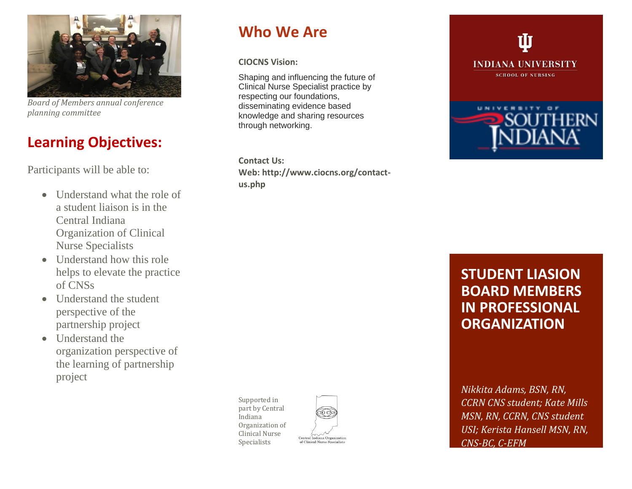

*Board of Members annual conference planning committee* 

### **Learning Objectives:**

Participants will be able to:

- Understand what the role of a student liaison is in the Central Indiana Organization of Clinical Nurse Specialists
- Understand how this role helps to elevate the practice of CNSs
- Understand the student perspective of the partnership project
- Understand the organization perspective of the learning of partnership project

## **Who We Are**

**CIOCNS Vision:**

Shaping and influencing the future of Clinical Nurse Specialist practice by respecting our foundations, disseminating evidence based knowledge and sharing resources through networking.

**Contact Us: Web: http://www.ciocns.org/contactus.php**



### **STUDENT LIASION BOARD MEMBERS IN PROFESSIONAL ORGANIZATION**

*Nikkita Adams, BSN, RN, CCRN CNS student; Kate Mills MSN, RN, CCRN, CNS student USI; Kerista Hansell MSN, RN, CNS-BC, C-EFM*

Supported in part by Central Indiana Organization of Clinical Nurse Specialists